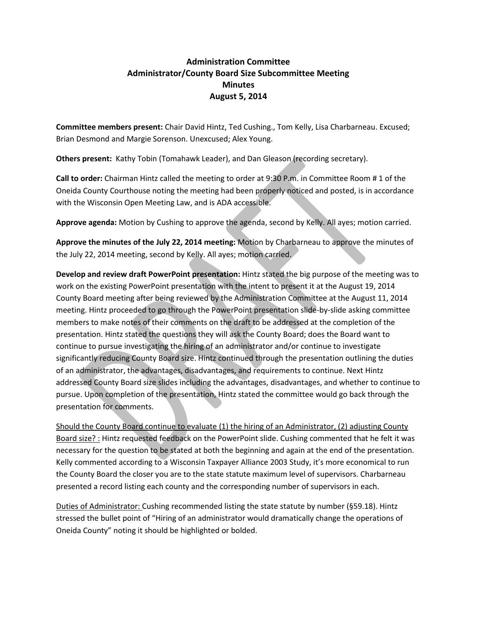## **Administration Committee Administrator/County Board Size Subcommittee Meeting Minutes August 5, 2014**

**Committee members present:** Chair David Hintz, Ted Cushing., Tom Kelly, Lisa Charbarneau. Excused; Brian Desmond and Margie Sorenson. Unexcused; Alex Young.

**Others present:** Kathy Tobin (Tomahawk Leader), and Dan Gleason (recording secretary).

**Call to order:** Chairman Hintz called the meeting to order at 9:30 P.m. in Committee Room # 1 of the Oneida County Courthouse noting the meeting had been properly noticed and posted, is in accordance with the Wisconsin Open Meeting Law, and is ADA accessible.

**Approve agenda:** Motion by Cushing to approve the agenda, second by Kelly. All ayes; motion carried.

**Approve the minutes of the July 22, 2014 meeting:** Motion by Charbarneau to approve the minutes of the July 22, 2014 meeting, second by Kelly. All ayes; motion carried.

**Develop and review draft PowerPoint presentation:** Hintz stated the big purpose of the meeting was to work on the existing PowerPoint presentation with the intent to present it at the August 19, 2014 County Board meeting after being reviewed by the Administration Committee at the August 11, 2014 meeting. Hintz proceeded to go through the PowerPoint presentation slide-by-slide asking committee members to make notes of their comments on the draft to be addressed at the completion of the presentation. Hintz stated the questions they will ask the County Board; does the Board want to continue to pursue investigating the hiring of an administrator and/or continue to investigate significantly reducing County Board size. Hintz continued through the presentation outlining the duties of an administrator, the advantages, disadvantages, and requirements to continue. Next Hintz addressed County Board size slides including the advantages, disadvantages, and whether to continue to pursue. Upon completion of the presentation, Hintz stated the committee would go back through the presentation for comments.

Should the County Board continue to evaluate (1) the hiring of an Administrator, (2) adjusting County Board size? : Hintz requested feedback on the PowerPoint slide. Cushing commented that he felt it was necessary for the question to be stated at both the beginning and again at the end of the presentation. Kelly commented according to a Wisconsin Taxpayer Alliance 2003 Study, it's more economical to run the County Board the closer you are to the state statute maximum level of supervisors. Charbarneau presented a record listing each county and the corresponding number of supervisors in each.

Duties of Administrator: Cushing recommended listing the state statute by number (§59.18). Hintz stressed the bullet point of "Hiring of an administrator would dramatically change the operations of Oneida County" noting it should be highlighted or bolded.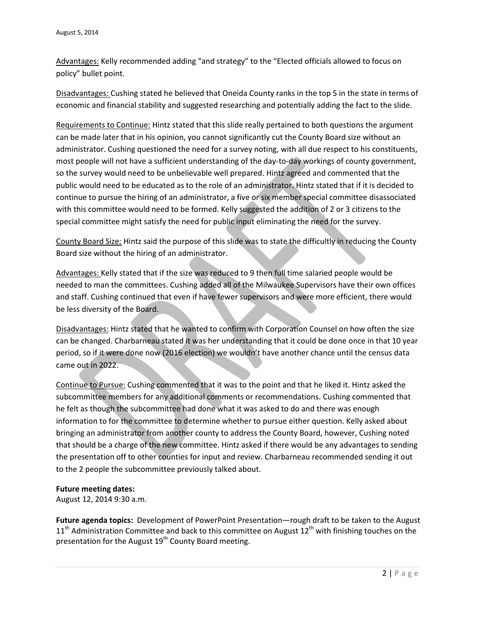Advantages: Kelly recommended adding "and strategy" to the "Elected officials allowed to focus on policy" bullet point.

Disadvantages: Cushing stated he believed that Oneida County ranks in the top 5 in the state in terms of economic and financial stability and suggested researching and potentially adding the fact to the slide.

Requirements to Continue: Hintz stated that this slide really pertained to both questions the argument can be made later that in his opinion, you cannot significantly cut the County Board size without an administrator. Cushing questioned the need for a survey noting, with all due respect to his constituents, most people will not have a sufficient understanding of the day-to-day workings of county government, so the survey would need to be unbelievable well prepared. Hintz agreed and commented that the public would need to be educated as to the role of an administrator. Hintz stated that if it is decided to continue to pursue the hiring of an administrator, a five or six member special committee disassociated with this committee would need to be formed. Kelly suggested the addition of 2 or 3 citizens to the special committee might satisfy the need for public input eliminating the need for the survey.

County Board Size: Hintz said the purpose of this slide was to state the difficultly in reducing the County Board size without the hiring of an administrator.

Advantages: Kelly stated that if the size was reduced to 9 then full time salaried people would be needed to man the committees. Cushing added all of the Milwaukee Supervisors have their own offices and staff. Cushing continued that even if have fewer supervisors and were more efficient, there would be less diversity of the Board.

Disadvantages: Hintz stated that he wanted to confirm with Corporation Counsel on how often the size can be changed. Charbarneau stated it was her understanding that it could be done once in that 10 year period, so if it were done now (2016 election) we wouldn't have another chance until the census data came out in 2022.

Continue to Pursue: Cushing commented that it was to the point and that he liked it. Hintz asked the subcommittee members for any additional comments or recommendations. Cushing commented that he felt as though the subcommittee had done what it was asked to do and there was enough information to for the committee to determine whether to pursue either question. Kelly asked about bringing an administrator from another county to address the County Board, however, Cushing noted that should be a charge of the new committee. Hintz asked if there would be any advantages to sending the presentation off to other counties for input and review. Charbarneau recommended sending it out to the 2 people the subcommittee previously talked about.

## **Future meeting dates:**

August 12, 2014 9:30 a.m.

**Future agenda topics:** Development of PowerPoint Presentation—rough draft to be taken to the August  $11<sup>th</sup>$  Administration Committee and back to this committee on August  $12<sup>th</sup>$  with finishing touches on the presentation for the August 19<sup>th</sup> County Board meeting.